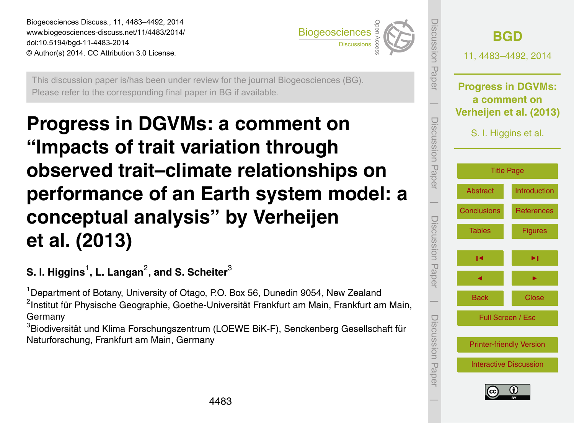<span id="page-0-0"></span>Biogeosciences Discuss., 11, 4483–4492, 2014 www.biogeosciences-discuss.net/11/4483/2014/ doi:10.5194/bgd-11-4483-2014 © Author(s) 2014. CC Attribution 3.0 License. Open Access



This discussion paper is/has been under review for the journal Biogeosciences (BG). Please refer to the corresponding final paper in BG if available.

## **Progress in DGVMs: a comment on "Impacts of trait variation through observed trait–climate relationships on performance of an Earth system model: a conceptual analysis" by Verheijen et al. (2013)**

**S. I. Higgins**<sup>1</sup> **, L. Langan**<sup>2</sup> **, and S. Scheiter**<sup>3</sup>

<sup>1</sup> Department of Botany, University of Otago, P.O. Box 56, Dunedin 9054, New Zealand <sup>2</sup>Institut für Physische Geographie, Goethe-Universität Frankfurt am Main, Frankfurt am Main, Germany

<sup>3</sup>Biodiversität und Klima Forschungszentrum (LOEWE BiK-F), Senckenberg Gesellschaft für Naturforschung, Frankfurt am Main, Germany

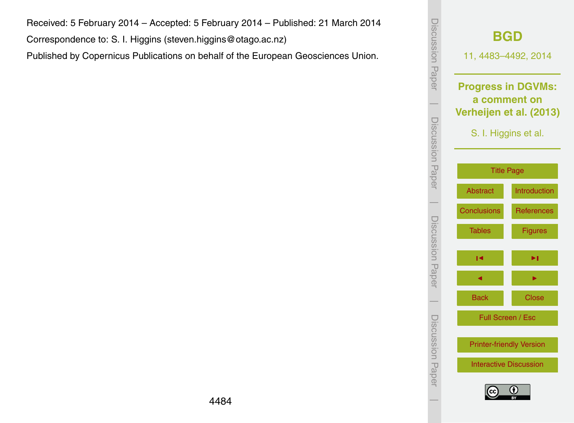Received: 5 February 2014 – Accepted: 5 February 2014 – Published: 21 March 2014

Correspondence to: S. I. Higgins (steven.higgins@otago.ac.nz)

Published by Copernicus Publications on behalf of the European Geosciences Union.

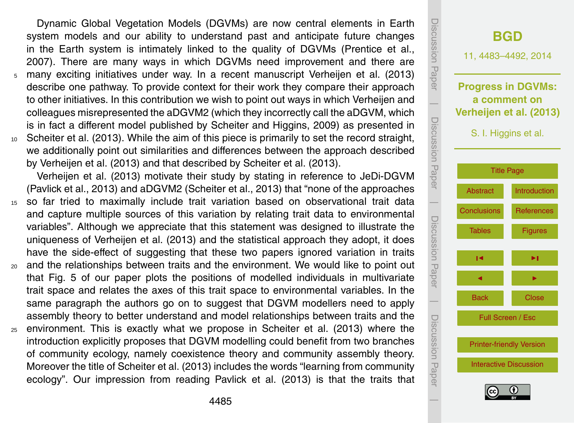<span id="page-2-0"></span>Dynamic Global Vegetation Models (DGVMs) are now central elements in Earth system models and our ability to understand past and anticipate future changes in the Earth system is intimately linked to the quality of DGVMs [\(Prentice et al.,](#page-8-0) [2007\)](#page-8-0). There are many ways in which DGVMs need improvement and there are <sup>5</sup> many exciting initiatives under way. In a recent manuscript [Verheijen et al.](#page-9-0) [\(2013\)](#page-9-0) describe one pathway. To provide context for their work they compare their approach to other initiatives. In this contribution we wish to point out ways in which Verheijen and colleagues misrepresented the aDGVM2 (which they incorrectly call the aDGVM, which is in fact a different model published by [Scheiter and Higgins,](#page-8-0) [2009\)](#page-8-0) as presented in <sup>10</sup> [Scheiter et al.](#page-9-0) [\(2013\)](#page-9-0). While the aim of this piece is primarily to set the record straight, we additionally point out similarities and differences between the approach described by [Verheijen et al.](#page-9-0) [\(2013\)](#page-9-0) and that described by [Scheiter et al.](#page-9-0) [\(2013\)](#page-9-0).

[Verheijen et al.](#page-9-0) [\(2013\)](#page-9-0) motivate their study by stating in reference to JeDi-DGVM [\(Pavlick et al.,](#page-8-0) [2013\)](#page-8-0) and aDGVM2 [\(Scheiter et al.,](#page-9-0) [2013\)](#page-9-0) that "none of the approaches

- <sup>15</sup> so far tried to maximally include trait variation based on observational trait data and capture multiple sources of this variation by relating trait data to environmental variables". Although we appreciate that this statement was designed to illustrate the uniqueness of [Verheijen et al.](#page-9-0) [\(2013\)](#page-9-0) and the statistical approach they adopt, it does have the side-effect of suggesting that these two papers ignored variation in traits
- <sup>20</sup> and the relationships between traits and the environment. We would like to point out that Fig. 5 of our paper plots the positions of modelled individuals in multivariate trait space and relates the axes of this trait space to environmental variables. In the same paragraph the authors go on to suggest that DGVM modellers need to apply assembly theory to better understand and model relationships between traits and the
- <sup>25</sup> environment. This is exactly what we propose in [Scheiter et al.](#page-9-0) [\(2013\)](#page-9-0) where the introduction explicitly proposes that DGVM modelling could benefit from two branches of community ecology, namely coexistence theory and community assembly theory. Moreover the title of [Scheiter et al.](#page-9-0) [\(2013\)](#page-9-0) includes the words "learning from community ecology". Our impression from reading [Pavlick et al.](#page-8-0) [\(2013\)](#page-8-0) is that the traits that

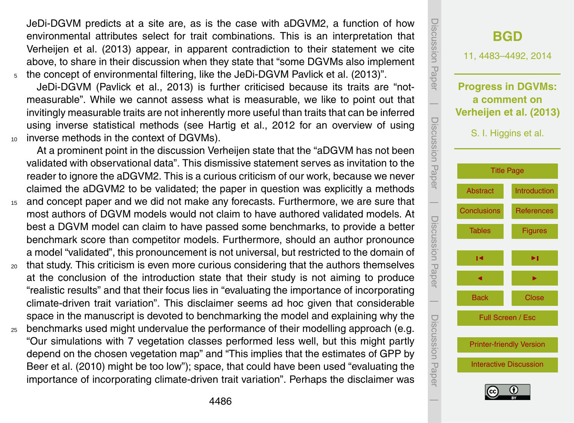<span id="page-3-0"></span>JeDi-DGVM predicts at a site are, as is the case with aDGVM2, a function of how environmental attributes select for trait combinations. This is an interpretation that [Verheijen et al.](#page-9-0) [\(2013\)](#page-9-0) appear, in apparent contradiction to their statement we cite above, to share in their discussion when they state that "some DGVMs also implement <sup>5</sup> the concept of environmental filtering, like the JeDi-DGVM [Pavlick et al.](#page-8-0) [\(2013\)](#page-8-0)".

JeDi-DGVM [\(Pavlick et al.,](#page-8-0) [2013\)](#page-8-0) is further criticised because its traits are "notmeasurable". While we cannot assess what is measurable, we like to point out that invitingly measurable traits are not inherently more useful than traits that can be inferred using inverse statistical methods (see [Hartig et al.,](#page-7-0) [2012](#page-7-0) for an overview of using <sup>10</sup> inverse methods in the context of DGVMs).

At a prominent point in the discussion Verheijen state that the "aDGVM has not been validated with observational data". This dismissive statement serves as invitation to the reader to ignore the aDGVM2. This is a curious criticism of our work, because we never claimed the aDGVM2 to be validated; the paper in question was explicitly a methods

- <sup>15</sup> and concept paper and we did not make any forecasts. Furthermore, we are sure that most authors of DGVM models would not claim to have authored validated models. At best a DGVM model can claim to have passed some benchmarks, to provide a better benchmark score than competitor models. Furthermore, should an author pronounce a model "validated", this pronouncement is not universal, but restricted to the domain of
- <sup>20</sup> that study. This criticism is even more curious considering that the authors themselves at the conclusion of the introduction state that their study is not aiming to produce "realistic results" and that their focus lies in "evaluating the importance of incorporating climate-driven trait variation". This disclaimer seems ad hoc given that considerable space in the manuscript is devoted to benchmarking the model and explaining why the
- <sup>25</sup> benchmarks used might undervalue the performance of their modelling approach (e.g. "Our simulations with 7 vegetation classes performed less well, but this might partly depend on the chosen vegetation map" and "This implies that the estimates of GPP by Beer et al. (2010) might be too low"); space, that could have been used "evaluating the importance of incorporating climate-driven trait variation". Perhaps the disclaimer was

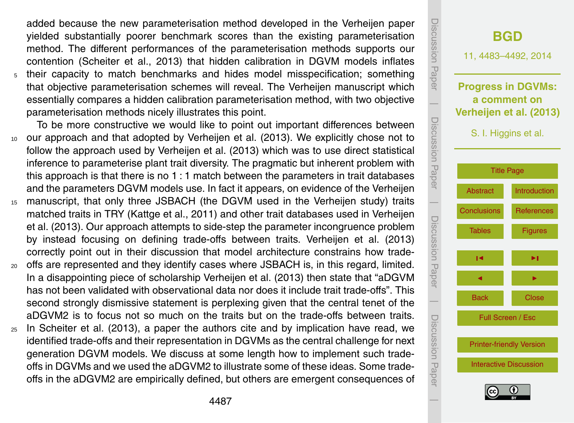<span id="page-4-0"></span>added because the new parameterisation method developed in the Verheijen paper yielded substantially poorer benchmark scores than the existing parameterisation method. The different performances of the parameterisation methods supports our contention [\(Scheiter et al.,](#page-9-0) [2013\)](#page-9-0) that hidden calibration in DGVM models inflates <sup>5</sup> their capacity to match benchmarks and hides model misspecification; something that objective parameterisation schemes will reveal. The Verheijen manuscript which essentially compares a hidden calibration parameterisation method, with two objective parameterisation methods nicely illustrates this point.

To be more constructive we would like to point out important differences between <sup>10</sup> our approach and that adopted by [Verheijen et al.](#page-9-0) [\(2013\)](#page-9-0). We explicitly chose not to follow the approach used by [Verheijen et al.](#page-9-0) [\(2013\)](#page-9-0) which was to use direct statistical inference to parameterise plant trait diversity. The pragmatic but inherent problem with this approach is that there is no 1 : 1 match between the parameters in trait databases and the parameters DGVM models use. In fact it appears, on evidence of the Verheijen <sup>15</sup> manuscript, that only three JSBACH (the DGVM used in the Verheijen study) traits

- [m](#page-9-0)atched traits in TRY [\(Kattge et al.,](#page-7-0) [2011\)](#page-7-0) and other trait databases used in [Verheijen](#page-9-0) [et al.](#page-9-0) [\(2013\)](#page-9-0). Our approach attempts to side-step the parameter incongruence problem by instead focusing on defining trade-offs between traits. [Verheijen et al.](#page-9-0) [\(2013\)](#page-9-0) correctly point out in their discussion that model architecture constrains how trade-
- <sup>20</sup> offs are represented and they identify cases where JSBACH is, in this regard, limited. In a disappointing piece of scholarship [Verheijen et al.](#page-9-0) [\(2013\)](#page-9-0) then state that "aDGVM has not been validated with observational data nor does it include trait trade-offs". This second strongly dismissive statement is perplexing given that the central tenet of the aDGVM2 is to focus not so much on the traits but on the trade-offs between traits.
- <sup>25</sup> In [Scheiter et al.](#page-9-0) [\(2013\)](#page-9-0), a paper the authors cite and by implication have read, we identified trade-offs and their representation in DGVMs as the central challenge for next generation DGVM models. We discuss at some length how to implement such tradeoffs in DGVMs and we used the aDGVM2 to illustrate some of these ideas. Some tradeoffs in the aDGVM2 are empirically defined, but others are emergent consequences of

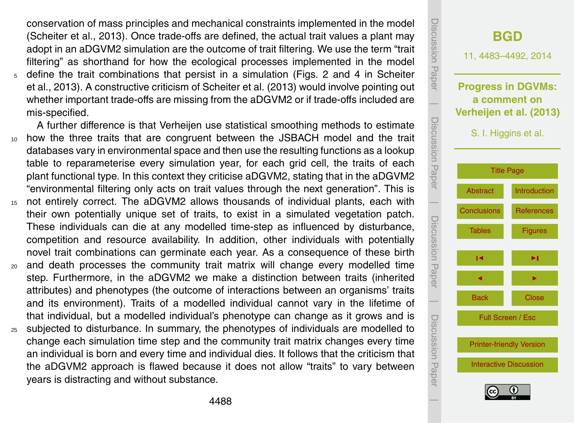<span id="page-5-0"></span>conservation of mass principles and mechanical constraints implemented in the model [\(Scheiter et al.,](#page-9-0) [2013\)](#page-9-0). Once trade-offs are defined, the actual trait values a plant may adopt in an aDGVM2 simulation are the outcome of trait filtering. We use the term "trait filtering" as shorthand for how the ecological processes implemented in the model <sup>5</sup> [d](#page-9-0)efine the trait combinations that persist in a simulation (Figs. 2 and 4 in [Scheiter](#page-9-0) [et al.,](#page-9-0) [2013\)](#page-9-0). A constructive criticism of [Scheiter et al.](#page-9-0) [\(2013\)](#page-9-0) would involve pointing out whether important trade-offs are missing from the aDGVM2 or if trade-offs included are mis-specified.

A further difference is that Verheijen use statistical smoothing methods to estimate <sup>10</sup> how the three traits that are congruent between the JSBACH model and the trait databases vary in environmental space and then use the resulting functions as a lookup table to reparameterise every simulation year, for each grid cell, the traits of each plant functional type. In this context they criticise aDGVM2, stating that in the aDGVM2 "environmental filtering only acts on trait values through the next generation". This is <sup>15</sup> not entirely correct. The aDGVM2 allows thousands of individual plants, each with their own potentially unique set of traits, to exist in a simulated vegetation patch.

- These individuals can die at any modelled time-step as influenced by disturbance, competition and resource availability. In addition, other individuals with potentially novel trait combinations can germinate each year. As a consequence of these birth
- <sup>20</sup> and death processes the community trait matrix will change every modelled time step. Furthermore, in the aDGVM2 we make a distinction between traits (inherited attributes) and phenotypes (the outcome of interactions between an organisms' traits and its environment). Traits of a modelled individual cannot vary in the lifetime of that individual, but a modelled individual's phenotype can change as it grows and is
- <sup>25</sup> subjected to disturbance. In summary, the phenotypes of individuals are modelled to change each simulation time step and the community trait matrix changes every time an individual is born and every time and individual dies. It follows that the criticism that the aDGVM2 approach is flawed because it does not allow "traits" to vary between years is distracting and without substance.

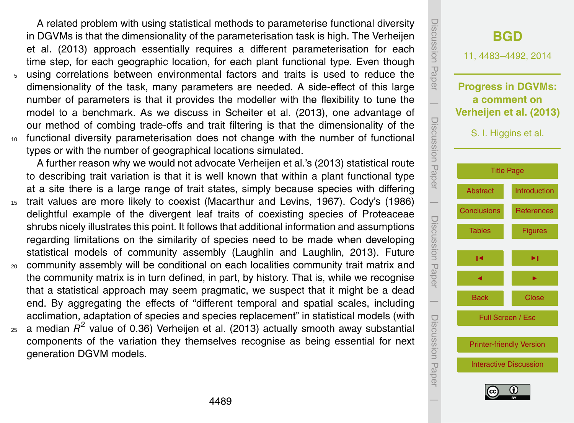<span id="page-6-0"></span>A related problem with using statistical methods to parameterise functional diversity [i](#page-9-0)n DGVMs is that the dimensionality of the parameterisation task is high. The [Verheijen](#page-9-0) [et al.](#page-9-0) [\(2013\)](#page-9-0) approach essentially requires a different parameterisation for each time step, for each geographic location, for each plant functional type. Even though <sup>5</sup> using correlations between environmental factors and traits is used to reduce the dimensionality of the task, many parameters are needed. A side-effect of this large number of parameters is that it provides the modeller with the flexibility to tune the model to a benchmark. As we discuss in [Scheiter et al.](#page-9-0) [\(2013\)](#page-9-0), one advantage of our method of combing trade-offs and trait filtering is that the dimensionality of the <sup>10</sup> functional diversity parameterisation does not change with the number of functional types or with the number of geographical locations simulated.

A further reason why we would not advocate [Verheijen et al.'](#page-9-0)s [\(2013\)](#page-9-0) statistical route to describing trait variation is that it is well known that within a plant functional type at a site there is a large range of trait states, simply because species with differing

- <sup>15</sup> trait values are more likely to coexist [\(Macarthur and Levins,](#page-8-0) [1967\)](#page-8-0). [Cody'](#page-7-0)s [\(1986\)](#page-7-0) delightful example of the divergent leaf traits of coexisting species of Proteaceae shrubs nicely illustrates this point. It follows that additional information and assumptions regarding limitations on the similarity of species need to be made when developing statistical models of community assembly [\(Laughlin and Laughlin,](#page-8-0) [2013\)](#page-8-0). Future
- <sup>20</sup> community assembly will be conditional on each localities community trait matrix and the community matrix is in turn defined, in part, by history. That is, while we recognise that a statistical approach may seem pragmatic, we suspect that it might be a dead end. By aggregating the effects of "different temporal and spatial scales, including acclimation, adaptation of species and species replacement" in statistical models (with
- $_{25}$  a median  $R^2$  value of 0.36) [Verheijen et al.](#page-9-0) [\(2013\)](#page-9-0) actually smooth away substantial components of the variation they themselves recognise as being essential for next generation DGVM models.

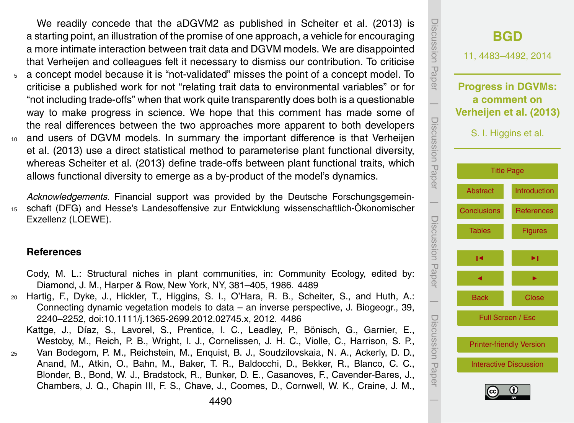<span id="page-7-0"></span>We readily concede that the aDGVM2 as published in [Scheiter et al.](#page-9-0) [\(2013\)](#page-9-0) is a starting point, an illustration of the promise of one approach, a vehicle for encouraging a more intimate interaction between trait data and DGVM models. We are disappointed that Verheijen and colleagues felt it necessary to dismiss our contribution. To criticise <sup>5</sup> a concept model because it is "not-validated" misses the point of a concept model. To criticise a published work for not "relating trait data to environmental variables" or for "not including trade-offs" when that work quite transparently does both is a questionable way to make progress in science. We hope that this comment has made some of the real differences between the two approaches more apparent to both developers

<sup>10</sup> [a](#page-9-0)nd users of DGVM models. In summary the important difference is that [Verheijen](#page-9-0) [et al.](#page-9-0) [\(2013\)](#page-9-0) use a direct statistical method to parameterise plant functional diversity, whereas [Scheiter et al.](#page-9-0) [\(2013\)](#page-9-0) define trade-offs between plant functional traits, which allows functional diversity to emerge as a by-product of the model's dynamics.

*Acknowledgements.* Financial support was provided by the Deutsche Forschungsgemein-<sup>15</sup> schaft (DFG) and Hesse's Landesoffensive zur Entwicklung wissenschaftlich-Ökonomischer Exzellenz (LOEWE).

## **References**

- Cody, M. L.: Structural niches in plant communities, in: Community Ecology, edited by: Diamond, J. M., Harper & Row, New York, NY, 381–405, 1986. [4489](#page-6-0)
- <sup>20</sup> Hartig, F., Dyke, J., Hickler, T., Higgins, S. I., O'Hara, R. B., Scheiter, S., and Huth, A.: Connecting dynamic vegetation models to data – an inverse perspective, J. Biogeogr., 39, 2240–2252, doi[:10.1111/j.1365-2699.2012.02745.x,](http://dx.doi.org/10.1111/j.1365-2699.2012.02745.x) 2012. [4486](#page-3-0)
	- Kattge, J., Díaz, S., Lavorel, S., Prentice, I. C., Leadley, P., Bönisch, G., Garnier, E., Westoby, M., Reich, P. B., Wright, I. J., Cornelissen, J. H. C., Violle, C., Harrison, S. P.,
- <sup>25</sup> Van Bodegom, P. M., Reichstein, M., Enquist, B. J., Soudzilovskaia, N. A., Ackerly, D. D., Anand, M., Atkin, O., Bahn, M., Baker, T. R., Baldocchi, D., Bekker, R., Blanco, C. C., Blonder, B., Bond, W. J., Bradstock, R., Bunker, D. E., Casanoves, F., Cavender-Bares, J., Chambers, J. Q., Chapin III, F. S., Chave, J., Coomes, D., Cornwell, W. K., Craine, J. M.,

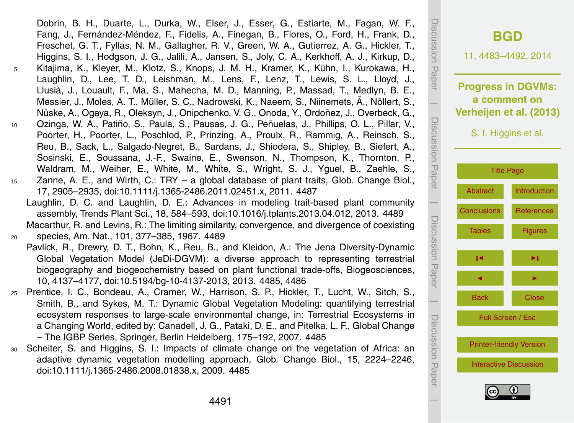<span id="page-8-0"></span>Dobrin, B. H., Duarte, L., Durka, W., Elser, J., Esser, G., Estiarte, M., Fagan, W. F., Fang, J., Fernández-Méndez, F., Fidelis, A., Finegan, B., Flores, O., Ford, H., Frank, D., Freschet, G. T., Fyllas, N. M., Gallagher, R. V., Green, W. A., Gutierrez, A. G., Hickler, T., Higgins, S. I., Hodgson, J. G., Jalili, A., Jansen, S., Joly, C. A., Kerkhoff, A. J., Kirkup, D., <sup>5</sup> Kitajima, K., Kleyer, M., Klotz, S., Knops, J. M. H., Kramer, K., Kühn, I., Kurokawa, H., Laughlin, D., Lee, T. D., Leishman, M., Lens, F., Lenz, T., Lewis, S. L., Lloyd, J., Llusià, J., Louault, F., Ma, S., Mahecha, M. D., Manning, P., Massad, T., Medlyn, B. E., Messier, J., Moles, A. T., Müller, S. C., Nadrowski, K., Naeem, S., Niinemets, Ã., Nöllert, S., Nüske, A., Ogaya, R., Oleksyn, J., Onipchenko, V. G., Onoda, Y., Ordoñez, J., Overbeck, G., <sup>10</sup> Ozinga, W. A., Patiño, S., Paula, S., Pausas, J. G., Peñuelas, J., Phillips, O. L., Pillar, V., Poorter, H., Poorter, L., Poschlod, P., Prinzing, A., Proulx, R., Rammig, A., Reinsch, S., Reu, B., Sack, L., Salgado-Negret, B., Sardans, J., Shiodera, S., Shipley, B., Siefert, A., Sosinski, E., Soussana, J.-F., Swaine, E., Swenson, N., Thompson, K., Thornton, P., Waldram, M., Weiher, E., White, M., White, S., Wright, S. J., Yguel, B., Zaehle, S., <sup>15</sup> Zanne, A. E., and Wirth, C.: TRY – a global database of plant traits, Glob. Change Biol., 17, 2905–2935, doi[:10.1111/j.1365-2486.2011.02451.x,](http://dx.doi.org/10.1111/j.1365-2486.2011.02451.x) 2011. [4487](#page-4-0) Laughlin, D. C. and Laughlin, D. E.: Advances in modeling trait-based plant community assembly, Trends Plant Sci., 18, 584–593, doi[:10.1016/j.tplants.2013.04.012,](http://dx.doi.org/10.1016/j.tplants.2013.04.012) 2013. [4489](#page-6-0) Macarthur, R. and Levins, R.: The limiting similarity, convergence, and divergence of coexisting <sup>20</sup> species, Am. Nat., 101, 377–385, 1967. [4489](#page-6-0)

Pavlick, R., Drewry, D. T., Bohn, K., Reu, B., and Kleidon, A.: The Jena Diversity-Dynamic Global Vegetation Model (JeDi-DGVM): a diverse approach to representing terrestrial biogeography and biogeochemistry based on plant functional trade-offs, Biogeosciences, 10, 4137–4177, doi[:10.5194/bg-10-4137-2013,](http://dx.doi.org/10.5194/bg-10-4137-2013) 2013. [4485,](#page-2-0) [4486](#page-3-0)

- <sup>25</sup> Prentice, I. C., Bondeau, A., Cramer, W., Harrison, S. P., Hickler, T., Lucht, W., Sitch, S., Smith, B., and Sykes, M. T.: Dynamic Global Vegetation Modeling: quantifying terrestrial ecosystem responses to large-scale environmental change, in: Terrestrial Ecosystems in a Changing World, edited by: Canadell, J. G., Pataki, D. E., and Pitelka, L. F., Global Change – The IGBP Series, Springer, Berlin Heidelberg, 175–192, 2007. [4485](#page-2-0)
- Scheiter, S. and Higgins, S. I.: Impacts of climate change on the vegetation of Africa: an adaptive dynamic vegetation modelling approach, Glob. Change Biol., 15, 2224–2246, doi[:10.1111/j.1365-2486.2008.01838.x,](http://dx.doi.org/10.1111/j.1365-2486.2008.01838.x) 2009. [4485](#page-2-0)